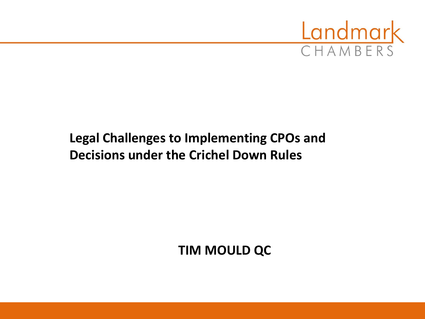

#### **Legal Challenges to Implementing CPOs and Decisions under the Crichel Down Rules**

**TIM MOULD QC**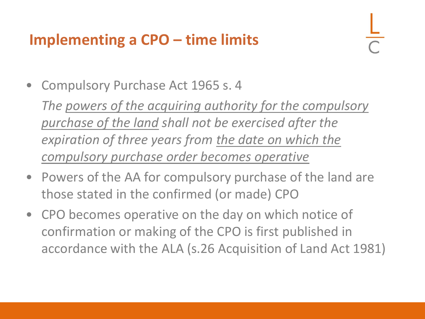## **Implementing a CPO – time limits**

• Compulsory Purchase Act 1965 s. 4

*The powers of the acquiring authority for the compulsory purchase of the land shall not be exercised after the expiration of three years from the date on which the compulsory purchase order becomes operative*

- Powers of the AA for compulsory purchase of the land are those stated in the confirmed (or made) CPO
- CPO becomes operative on the day on which notice of confirmation or making of the CPO is first published in accordance with the ALA (s.26 Acquisition of Land Act 1981)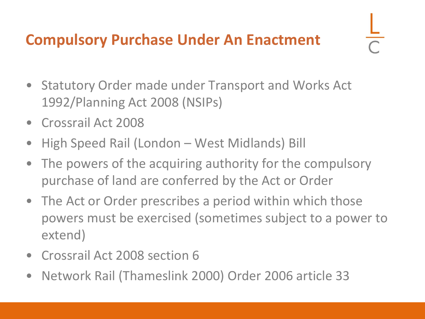#### **Compulsory Purchase Under An Enactment**

- Statutory Order made under Transport and Works Act 1992/Planning Act 2008 (NSIPs)
- Crossrail Act 2008
- High Speed Rail (London West Midlands) Bill
- The powers of the acquiring authority for the compulsory purchase of land are conferred by the Act or Order
- The Act or Order prescribes a period within which those powers must be exercised (sometimes subject to a power to extend)
- Crossrail Act 2008 section 6
- Network Rail (Thameslink 2000) Order 2006 article 33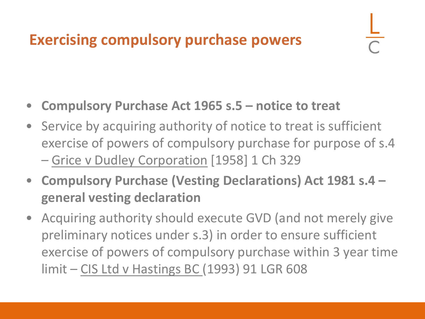## **Exercising compulsory purchase powers**

- **Compulsory Purchase Act 1965 s.5 – notice to treat**
- Service by acquiring authority of notice to treat is sufficient exercise of powers of compulsory purchase for purpose of s.4 – Grice v Dudley Corporation [1958] 1 Ch 329
- **Compulsory Purchase (Vesting Declarations) Act 1981 s.4 – general vesting declaration**
- Acquiring authority should execute GVD (and not merely give preliminary notices under s.3) in order to ensure sufficient exercise of powers of compulsory purchase within 3 year time limit – CIS Ltd v Hastings BC (1993) 91 LGR 608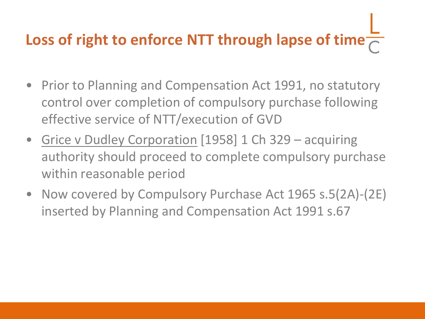# **Loss of right to enforce NTT through lapse of time**

- Prior to Planning and Compensation Act 1991, no statutory control over completion of compulsory purchase following effective service of NTT/execution of GVD
- Grice v Dudley Corporation [1958] 1 Ch 329 acquiring authority should proceed to complete compulsory purchase within reasonable period
- Now covered by Compulsory Purchase Act 1965 s.5(2A)-(2E) inserted by Planning and Compensation Act 1991 s.67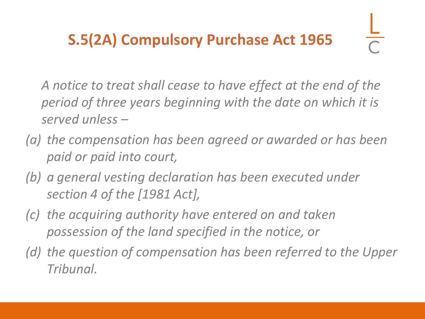## **S.5(2A) Compulsory Purchase Act 1965**

*A notice to treat shall cease to have effect at the end of the period of three years beginning with the date on which it is served unless –*

- *(a) the compensation has been agreed or awarded or has been paid or paid into court,*
- *(b) a general vesting declaration has been executed under section 4 of the [1981 Act],*
- *(c) the acquiring authority have entered on and taken possession of the land specified in the notice, or*
- *(d) the question of compensation has been referred to the Upper Tribunal.*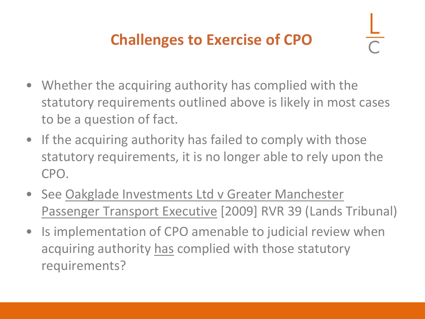## **Challenges to Exercise of CPO**

- Whether the acquiring authority has complied with the statutory requirements outlined above is likely in most cases to be a question of fact.
- If the acquiring authority has failed to comply with those statutory requirements, it is no longer able to rely upon the CPO.
- See Oakglade Investments Ltd v Greater Manchester Passenger Transport Executive [2009] RVR 39 (Lands Tribunal)
- Is implementation of CPO amenable to judicial review when acquiring authority has complied with those statutory requirements?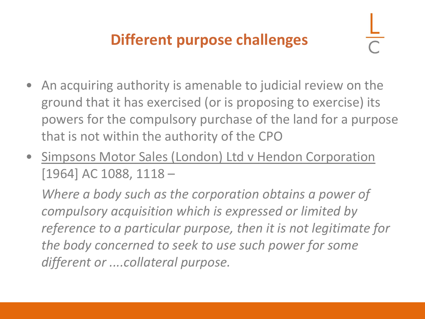## **Different purpose challenges**

- An acquiring authority is amenable to judicial review on the ground that it has exercised (or is proposing to exercise) its powers for the compulsory purchase of the land for a purpose that is not within the authority of the CPO
- Simpsons Motor Sales (London) Ltd v Hendon Corporation [1964] AC 1088, 1118 –

*Where a body such as the corporation obtains a power of compulsory acquisition which is expressed or limited by reference to a particular purpose, then it is not legitimate for the body concerned to seek to use such power for some different or ....collateral purpose.*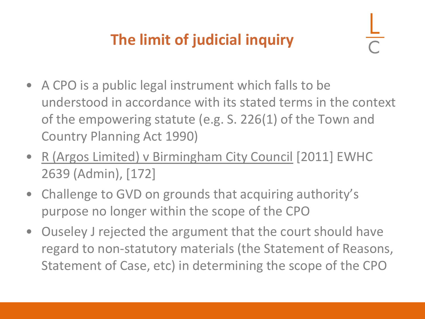## **The limit of judicial inquiry**

- A CPO is a public legal instrument which falls to be understood in accordance with its stated terms in the context of the empowering statute (e.g. S. 226(1) of the Town and Country Planning Act 1990)
- R (Argos Limited) v Birmingham City Council [2011] EWHC 2639 (Admin), [172]
- Challenge to GVD on grounds that acquiring authority's purpose no longer within the scope of the CPO
- Ouseley J rejected the argument that the court should have regard to non-statutory materials (the Statement of Reasons, Statement of Case, etc) in determining the scope of the CPO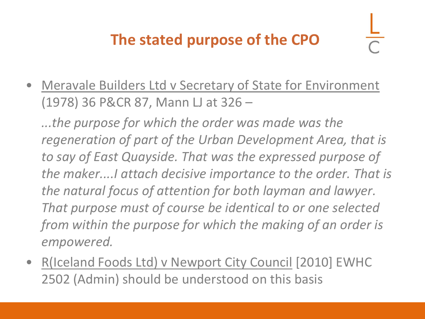## **The stated purpose of the CPO**

• Meravale Builders Ltd v Secretary of State for Environment (1978) 36 P&CR 87, Mann LJ at 326 –

*...the purpose for which the order was made was the regeneration of part of the Urban Development Area, that is to say of East Quayside. That was the expressed purpose of the maker....I attach decisive importance to the order. That is the natural focus of attention for both layman and lawyer. That purpose must of course be identical to or one selected from within the purpose for which the making of an order is empowered.* 

• R(Iceland Foods Ltd) v Newport City Council [2010] EWHC 2502 (Admin) should be understood on this basis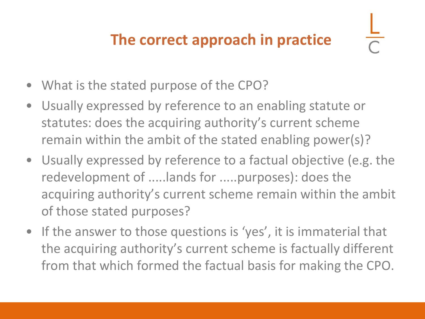## **The correct approach in practice**

- What is the stated purpose of the CPO?
- Usually expressed by reference to an enabling statute or statutes: does the acquiring authority's current scheme remain within the ambit of the stated enabling power(s)?
- Usually expressed by reference to a factual objective (e.g. the redevelopment of .....lands for .....purposes): does the acquiring authority's current scheme remain within the ambit of those stated purposes?
- If the answer to those questions is 'yes', it is immaterial that the acquiring authority's current scheme is factually different from that which formed the factual basis for making the CPO.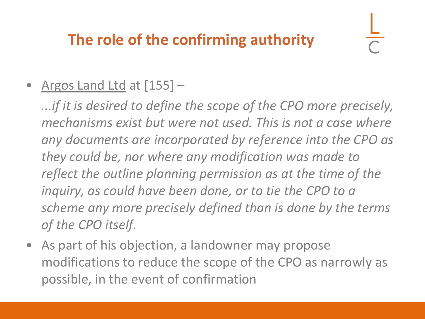## **The role of the confirming authority**

#### • Argos Land Ltd at [155] -

*...if it is desired to define the scope of the CPO more precisely, mechanisms exist but were not used. This is not a case where any documents are incorporated by reference into the CPO as they could be, nor where any modification was made to reflect the outline planning permission as at the time of the inquiry, as could have been done, or to tie the CPO to a scheme any more precisely defined than is done by the terms of the CPO itself.*

• As part of his objection, a landowner may propose modifications to reduce the scope of the CPO as narrowly as possible, in the event of confirmation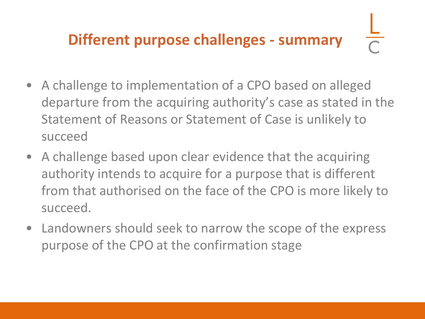## **Different purpose challenges - summary**

- A challenge to implementation of a CPO based on alleged departure from the acquiring authority's case as stated in the Statement of Reasons or Statement of Case is unlikely to succeed
- A challenge based upon clear evidence that the acquiring authority intends to acquire for a purpose that is different from that authorised on the face of the CPO is more likely to succeed.
- Landowners should seek to narrow the scope of the express purpose of the CPO at the confirmation stage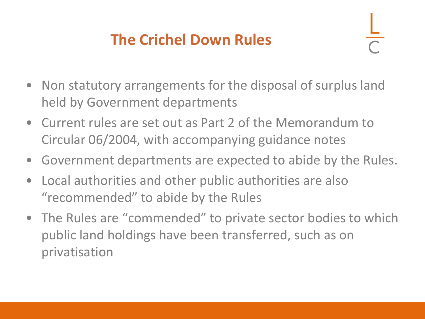## **The Crichel Down Rules**

- Non statutory arrangements for the disposal of surplus land held by Government departments
- Current rules are set out as Part 2 of the Memorandum to Circular 06/2004, with accompanying guidance notes
- Government departments are expected to abide by the Rules.
- Local authorities and other public authorities are also "recommended" to abide by the Rules
- The Rules are "commended" to private sector bodies to which public land holdings have been transferred, such as on privatisation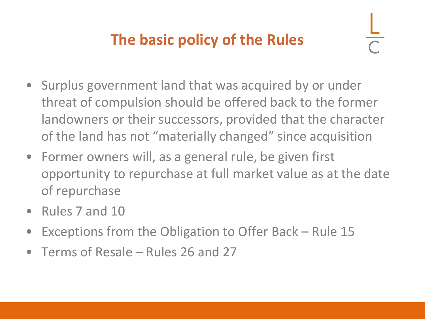## **The basic policy of the Rules**

- 
- Surplus government land that was acquired by or under threat of compulsion should be offered back to the former landowners or their successors, provided that the character of the land has not "materially changed" since acquisition
- Former owners will, as a general rule, be given first opportunity to repurchase at full market value as at the date of repurchase
- Rules 7 and 10
- Exceptions from the Obligation to Offer Back Rule 15
- Terms of Resale Rules 26 and 27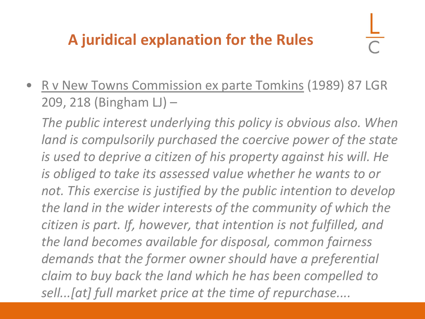## **A juridical explanation for the Rules**

• R v New Towns Commission ex parte Tomkins (1989) 87 LGR 209, 218 (Bingham LJ) –

*The public interest underlying this policy is obvious also. When land is compulsorily purchased the coercive power of the state is used to deprive a citizen of his property against his will. He is obliged to take its assessed value whether he wants to or not. This exercise is justified by the public intention to develop the land in the wider interests of the community of which the citizen is part. If, however, that intention is not fulfilled, and the land becomes available for disposal, common fairness demands that the former owner should have a preferential claim to buy back the land which he has been compelled to sell...[at] full market price at the time of repurchase....*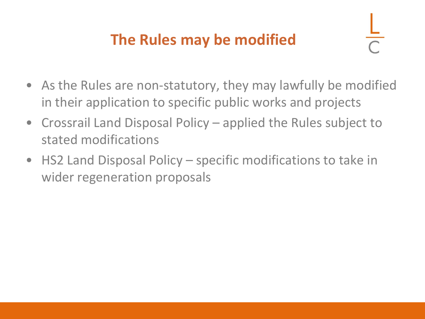## **The Rules may be modified**

- As the Rules are non-statutory, they may lawfully be modified in their application to specific public works and projects
- Crossrail Land Disposal Policy applied the Rules subject to stated modifications
- HS2 Land Disposal Policy specific modifications to take in wider regeneration proposals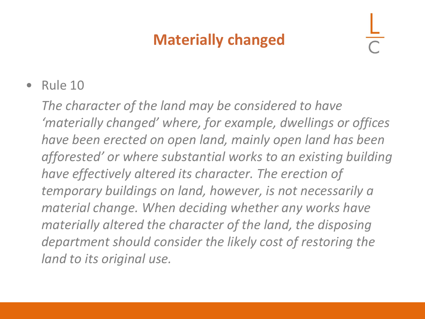## **Materially changed**

• Rule 10

*The character of the land may be considered to have 'materially changed' where, for example, dwellings or offices have been erected on open land, mainly open land has been afforested' or where substantial works to an existing building have effectively altered its character. The erection of temporary buildings on land, however, is not necessarily a material change. When deciding whether any works have materially altered the character of the land, the disposing department should consider the likely cost of restoring the land to its original use.*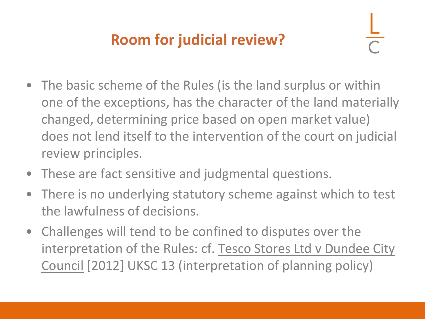## **Room for judicial review?**

- The basic scheme of the Rules (is the land surplus or within one of the exceptions, has the character of the land materially changed, determining price based on open market value) does not lend itself to the intervention of the court on judicial review principles.
- These are fact sensitive and judgmental questions.
- There is no underlying statutory scheme against which to test the lawfulness of decisions.
- Challenges will tend to be confined to disputes over the interpretation of the Rules: cf. Tesco Stores Ltd v Dundee City Council [2012] UKSC 13 (interpretation of planning policy)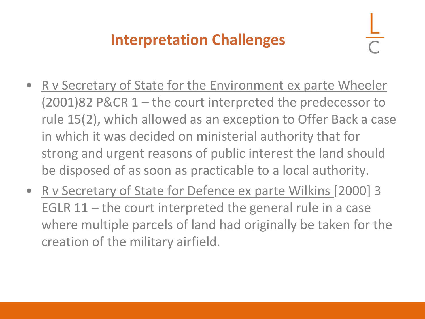## **Interpretation Challenges**

- R v Secretary of State for the Environment ex parte Wheeler (2001)82 P&CR 1 – the court interpreted the predecessor to rule 15(2), which allowed as an exception to Offer Back a case in which it was decided on ministerial authority that for strong and urgent reasons of public interest the land should be disposed of as soon as practicable to a local authority.
- R v Secretary of State for Defence ex parte Wilkins [2000] 3 EGLR 11 – the court interpreted the general rule in a case where multiple parcels of land had originally be taken for the creation of the military airfield.